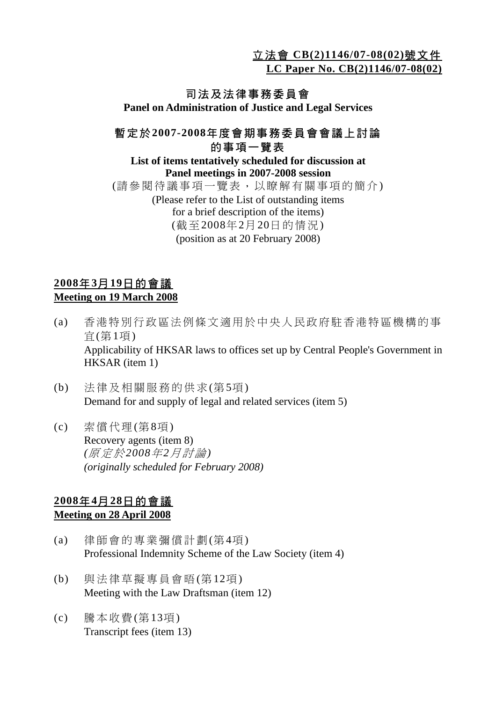立法會 **CB(2)1146/07-08(02)**號文件

**LC Paper No. CB(2)1146/07-08(02)**

# 司法及法律事務委員會

**Panel on Administration of Justice and Legal Services** 

#### 暫定於**2007-2008**年度會期事務委員會會議上討論 的事項一覽表

#### **List of items tentatively scheduled for discussion at Panel meetings in 2007-2008 session**

(請參閱待議事項一覽表,以瞭解有關事項的簡介) (Please refer to the List of outstanding items for a brief description of the items) (截至2008年2月20日的情況) (position as at 20 February 2008)

## **2008**年**3**月**19**日的會議 **Meeting on 19 March 2008**

- (a) 香港特別行政區法例條文適用於中央人民政府駐香港特區機構的事 宜(第1項) Applicability of HKSAR laws to offices set up by Central People's Government in HKSAR (item 1)
- (b) 法律及相關服務的供求(第5項) Demand for and supply of legal and related services (item 5)
- (c) 索償代理(第8項) Recovery agents (item 8)  *(*原定於*2008*年*2*月討論*) (originally scheduled for February 2008)*

#### **2008**年**4**月**28**日的會議 **Meeting on 28 April 2008**

- (a) 律師會的專業彌償計劃(第4項) Professional Indemnity Scheme of the Law Society (item 4)
- (b) 與法律草擬專員會晤(第12項) Meeting with the Law Draftsman (item 12)
- (c) 騰本收費(第13項) Transcript fees (item 13)